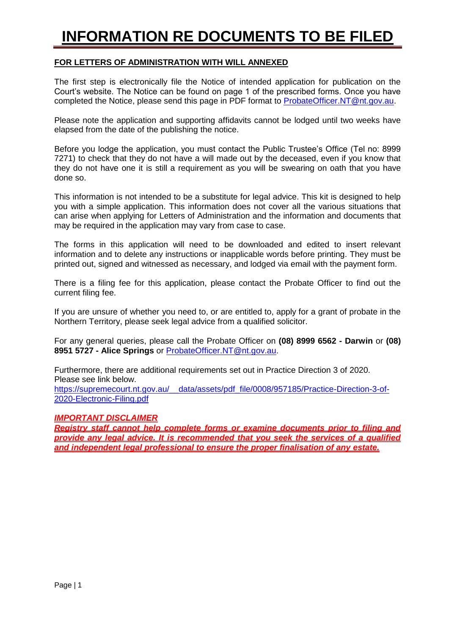# **INFORMATION RE DOCUMENTS TO BE FILED**

# **FOR LETTERS OF ADMINISTRATION WITH WILL ANNEXED**

The first step is electronically file the Notice of intended application for publication on the Court's website. The Notice can be found on page 1 of the prescribed forms. Once you have completed the Notice, please send this page in PDF format to [ProbateOfficer.NT@nt.gov.au.](mailto:ProbateOfficer.NT@nt.gov.au)

Please note the application and supporting affidavits cannot be lodged until two weeks have elapsed from the date of the publishing the notice.

Before you lodge the application, you must contact the Public Trustee's Office (Tel no: 8999 7271) to check that they do not have a will made out by the deceased, even if you know that they do not have one it is still a requirement as you will be swearing on oath that you have done so.

This information is not intended to be a substitute for legal advice. This kit is designed to help you with a simple application. This information does not cover all the various situations that can arise when applying for Letters of Administration and the information and documents that may be required in the application may vary from case to case.

The forms in this application will need to be downloaded and edited to insert relevant information and to delete any instructions or inapplicable words before printing. They must be printed out, signed and witnessed as necessary, and lodged via email with the payment form.

There is a filing fee for this application, please contact the Probate Officer to find out the current filing fee.

If you are unsure of whether you need to, or are entitled to, apply for a grant of probate in the Northern Territory, please seek legal advice from a qualified solicitor.

For any general queries, please call the Probate Officer on **(08) 8999 6562 - Darwin** or **(08) 8951 5727 - Alice Springs** or [ProbateOfficer.NT@nt.gov.au.](mailto:ProbateOfficer.NT@nt.gov.au)

Furthermore, there are additional requirements set out in Practice Direction 3 of 2020. Please see link below. [https://supremecourt.nt.gov.au/\\_\\_data/assets/pdf\\_file/0008/957185/Practice-Direction-3-of-](https://supremecourt.nt.gov.au/__data/assets/pdf_file/0008/957185/Practice-Direction-3-of-2020-Electronic-Filing.pdf)[2020-Electronic-Filing.pdf](https://supremecourt.nt.gov.au/__data/assets/pdf_file/0008/957185/Practice-Direction-3-of-2020-Electronic-Filing.pdf)

# *IMPORTANT DISCLAIMER*

*Registry staff cannot help complete forms or examine documents prior to filing and provide any legal advice. It is recommended that you seek the services of a qualified and independent legal professional to ensure the proper finalisation of any estate.*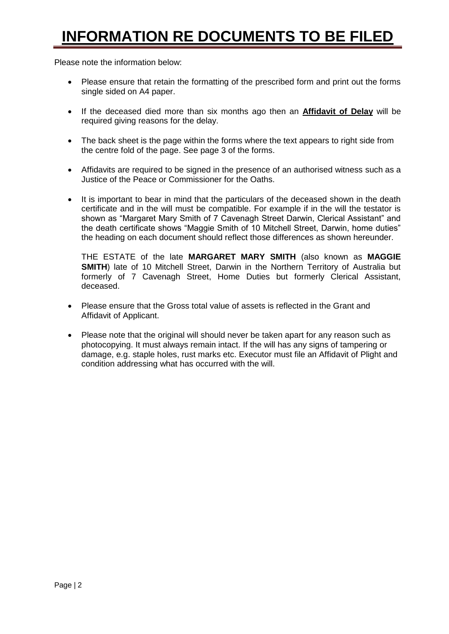# **INFORMATION RE DOCUMENTS TO BE FILED**

Please note the information below:

- Please ensure that retain the formatting of the prescribed form and print out the forms single sided on A4 paper.
- If the deceased died more than six months ago then an **Affidavit of Delay** will be required giving reasons for the delay.
- The back sheet is the page within the forms where the text appears to right side from the centre fold of the page. See page 3 of the forms.
- Affidavits are required to be signed in the presence of an authorised witness such as a Justice of the Peace or Commissioner for the Oaths.
- It is important to bear in mind that the particulars of the deceased shown in the death certificate and in the will must be compatible. For example if in the will the testator is shown as "Margaret Mary Smith of 7 Cavenagh Street Darwin, Clerical Assistant" and the death certificate shows "Maggie Smith of 10 Mitchell Street, Darwin, home duties" the heading on each document should reflect those differences as shown hereunder.

THE ESTATE of the late **MARGARET MARY SMITH** (also known as **MAGGIE SMITH**) late of 10 Mitchell Street, Darwin in the Northern Territory of Australia but formerly of 7 Cavenagh Street, Home Duties but formerly Clerical Assistant, deceased.

- Please ensure that the Gross total value of assets is reflected in the Grant and Affidavit of Applicant.
- Please note that the original will should never be taken apart for any reason such as photocopying. It must always remain intact. If the will has any signs of tampering or damage, e.g. staple holes, rust marks etc. Executor must file an Affidavit of Plight and condition addressing what has occurred with the will.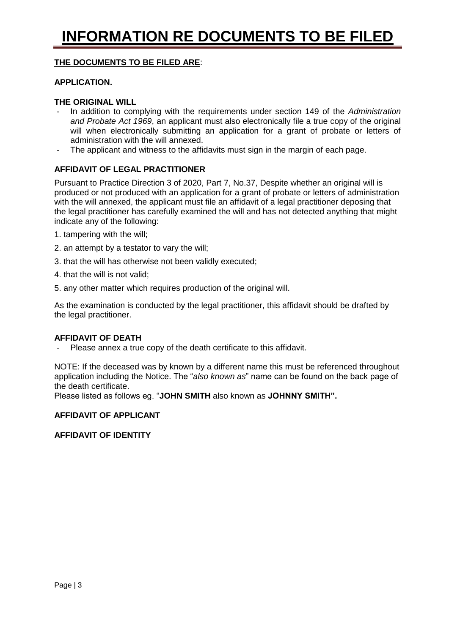# **THE DOCUMENTS TO BE FILED ARE**:

### **APPLICATION.**

### **THE ORIGINAL WILL**

- In addition to complying with the requirements under section 149 of the *Administration and Probate Act 1969*, an applicant must also electronically file a true copy of the original will when electronically submitting an application for a grant of probate or letters of administration with the will annexed.
- The applicant and witness to the affidavits must sign in the margin of each page.

# **AFFIDAVIT OF LEGAL PRACTITIONER**

Pursuant to Practice Direction 3 of 2020, Part 7, No.37, Despite whether an original will is produced or not produced with an application for a grant of probate or letters of administration with the will annexed, the applicant must file an affidavit of a legal practitioner deposing that the legal practitioner has carefully examined the will and has not detected anything that might indicate any of the following:

- 1. tampering with the will;
- 2. an attempt by a testator to vary the will;
- 3. that the will has otherwise not been validly executed;
- 4. that the will is not valid;
- 5. any other matter which requires production of the original will.

As the examination is conducted by the legal practitioner, this affidavit should be drafted by the legal practitioner.

# **AFFIDAVIT OF DEATH**

- Please annex a true copy of the death certificate to this affidavit.

NOTE: If the deceased was by known by a different name this must be referenced throughout application including the Notice. The "*also known as*" name can be found on the back page of the death certificate.

Please listed as follows eg. "**JOHN SMITH** also known as **JOHNNY SMITH".**

# **AFFIDAVIT OF APPLICANT**

# **AFFIDAVIT OF IDENTITY**